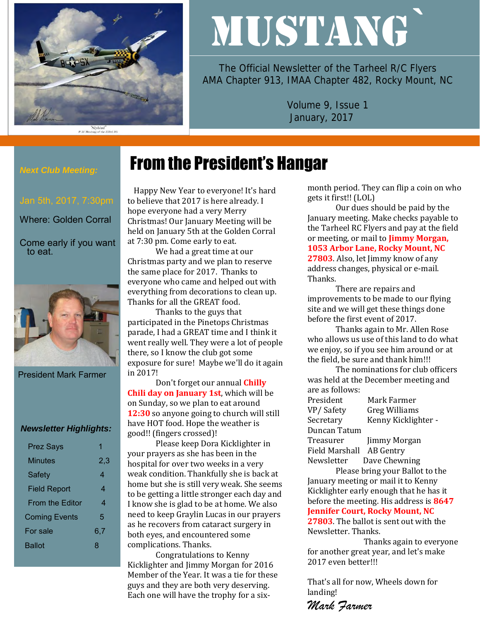

# MUSTANG`

The Official Newsletter of the Tarheel R/C Flyers AMA Chapter 913, IMAA Chapter 482, Rocky Mount, NC

> Volume 9, Issue 1 January, 2017

#### *Next Club Meeting:*

Where: Golden Corral

Come early if you want to eat.



President Mark Farmer

#### *Newsletter Highlights:*

| <b>Prez Says</b>       |     |
|------------------------|-----|
| Minutes                | 2,3 |
| Safety                 | 4   |
| <b>Field Report</b>    | 4   |
| <b>From the Editor</b> | 4   |
| <b>Coming Events</b>   | 5   |
| For sale               | 6,7 |
| Ballot                 | x   |
|                        |     |

# From the President's Hangar

 Happy New Year to everyone! It's hard to believe that 2017 is here already. I hope everyone had a very Merry Christmas! Our January Meeting will be held on January 5th at the Golden Corral at 7:30 pm. Come early to eat.

We had a great time at our Christmas party and we plan to reserve the same place for 2017. Thanks to everyone who came and helped out with everything from decorations to clean up. Thanks for all the GREAT food.

Thanks to the guys that participated in the Pinetops Christmas parade, I had a GREAT time and I think it went really well. They were a lot of people there, so I know the club got some exposure for sure! Maybe we'll do it again in 2017!

Don't forget our annual **Chilly Chili day on January 1st**, which will be on Sunday, so we plan to eat around **12:30** so anyone going to church will still have HOT food. Hope the weather is good!! (fingers crossed)!

Please keep Dora Kicklighter in your prayers as she has been in the hospital for over two weeks in a very weak condition. Thankfully she is back at home but she is still very weak. She seems to be getting a little stronger each day and I know she is glad to be at home. We also need to keep Graylin Lucas in our prayers as he recovers from cataract surgery in both eyes, and encountered some complications. Thanks.

Congratulations to Kenny Kicklighter and Jimmy Morgan for 2016 Member of the Year. It was a tie for these guys and they are both very deserving. Each one will have the trophy for a sixmonth period. They can flip a coin on who gets it first!! (LOL)

Our dues should be paid by the January meeting. Make checks payable to the Tarheel RC Flyers and pay at the field or meeting, or mail to **Jimmy Morgan, 1053 Arbor Lane, Rocky Mount, NC 27803**. Also, let Jimmy know of any address changes, physical or e-mail. Thanks.

There are repairs and improvements to be made to our flying site and we will get these things done before the first event of 2017.

Thanks again to Mr. Allen Rose who allows us use of this land to do what we enjoy, so if you see him around or at the field, be sure and thank him!!!

The nominations for club officers was held at the December meeting and are as follows:

| President      | Mark Farmer          |
|----------------|----------------------|
| VP/Safety      | <b>Greg Williams</b> |
| Secretary      | Kenny Kicklighter -  |
| Duncan Tatum   |                      |
| Treasurer      | Jimmy Morgan         |
| Field Marshall | <b>AB</b> Gentry     |
| Newsletter     | Dave Chewning        |

Please bring your Ballot to the January meeting or mail it to Kenny Kicklighter early enough that he has it before the meeting. His address is **8647 Jennifer Court, Rocky Mount, NC** 

**27803**. The ballot is sent out with the Newsletter. Thanks.

Thanks again to everyone for another great year, and let's make 2017 even better!!!

That's all for now, Wheels down for landing!

*Mark Farmer*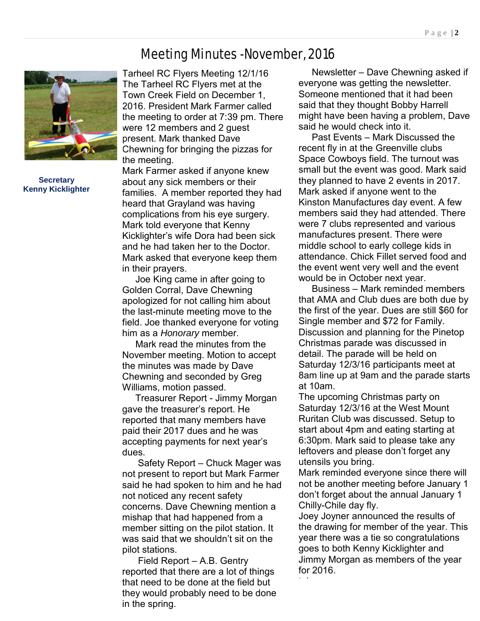# Meeting Minutes -November, 2016



**Secretary Kenny Kicklighter**

Tarheel RC Flyers Meeting 12/1/16 The Tarheel RC Flyers met at the Town Creek Field on December 1, 2016. President Mark Farmer called the meeting to order at 7:39 pm. There were 12 members and 2 guest present. Mark thanked Dave Chewning for bringing the pizzas for the meeting.

Mark Farmer asked if anyone knew about any sick members or their families. A member reported they had heard that Grayland was having complications from his eye surgery. Mark told everyone that Kenny Kicklighter's wife Dora had been sick and he had taken her to the Doctor. Mark asked that everyone keep them in their prayers.

 Joe King came in after going to Golden Corral, Dave Chewning apologized for not calling him about the last-minute meeting move to the field. Joe thanked everyone for voting him as a *Honorary* member.

 Mark read the minutes from the November meeting. Motion to accept the minutes was made by Dave Chewning and seconded by Greg Williams, motion passed.

 Treasurer Report - Jimmy Morgan gave the treasurer's report. He reported that many members have paid their 2017 dues and he was accepting payments for next year's dues.

 Safety Report – Chuck Mager was not present to report but Mark Farmer said he had spoken to him and he had not noticed any recent safety concerns. Dave Chewning mention a mishap that had happened from a member sitting on the pilot station. It was said that we shouldn't sit on the pilot stations.

 Field Report – A.B. Gentry reported that there are a lot of things that need to be done at the field but they would probably need to be done in the spring.

 Newsletter – Dave Chewning asked if everyone was getting the newsletter. Someone mentioned that it had been said that they thought Bobby Harrell might have been having a problem, Dave said he would check into it.

 Past Events – Mark Discussed the recent fly in at the Greenville clubs Space Cowboys field. The turnout was small but the event was good. Mark said they planned to have 2 events in 2017. Mark asked if anyone went to the Kinston Manufactures day event. A few members said they had attended. There were 7 clubs represented and various manufactures present. There were middle school to early college kids in attendance. Chick Fillet served food and the event went very well and the event would be in October next year.

 Business – Mark reminded members that AMA and Club dues are both due by the first of the year. Dues are still \$60 for Single member and \$72 for Family. Discussion and planning for the Pinetop Christmas parade was discussed in detail. The parade will be held on Saturday 12/3/16 participants meet at 8am line up at 9am and the parade starts at 10am.

The upcoming Christmas party on Saturday 12/3/16 at the West Mount Ruritan Club was discussed. Setup to start about 4pm and eating starting at 6:30pm. Mark said to please take any leftovers and please don't forget any utensils you bring.

Mark reminded everyone since there will not be another meeting before January 1 don't forget about the annual January 1 Chilly-Chile day fly.

Joey Joyner announced the results of the drawing for member of the year. This year there was a tie so congratulations goes to both Kenny Kicklighter and Jimmy Morgan as members of the year for 2016.

taken.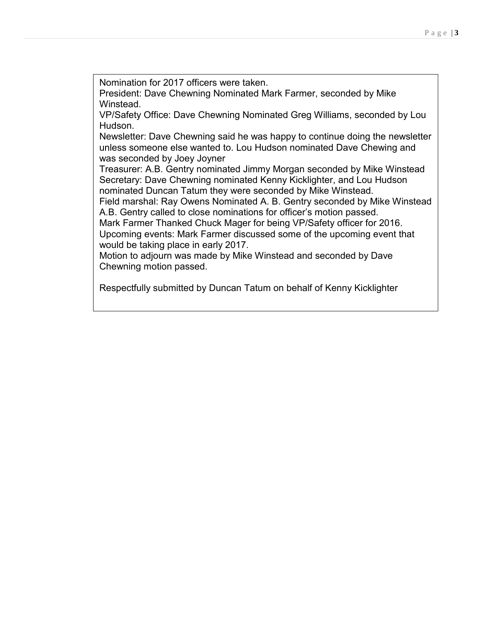Nomination for 2017 officers were taken.

President: Dave Chewning Nominated Mark Farmer, seconded by Mike Winstead.

VP/Safety Office: Dave Chewning Nominated Greg Williams, seconded by Lou Hudson.

Newsletter: Dave Chewning said he was happy to continue doing the newsletter unless someone else wanted to. Lou Hudson nominated Dave Chewing and was seconded by Joey Joyner

Treasurer: A.B. Gentry nominated Jimmy Morgan seconded by Mike Winstead Secretary: Dave Chewning nominated Kenny Kicklighter, and Lou Hudson nominated Duncan Tatum they were seconded by Mike Winstead.

Field marshal: Ray Owens Nominated A. B. Gentry seconded by Mike Winstead A.B. Gentry called to close nominations for officer's motion passed.

Mark Farmer Thanked Chuck Mager for being VP/Safety officer for 2016. Upcoming events: Mark Farmer discussed some of the upcoming event that would be taking place in early 2017.

Motion to adjourn was made by Mike Winstead and seconded by Dave Chewning motion passed.

Respectfully submitted by Duncan Tatum on behalf of Kenny Kicklighter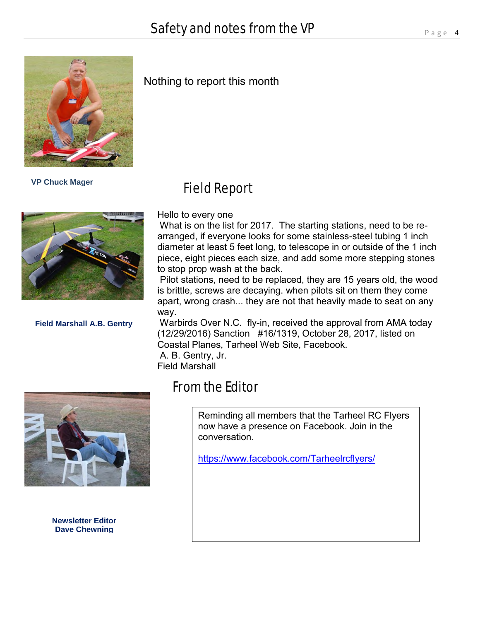

 **VP Chuck Mager**



**Field Marshall A.B. Gentry**

# Nothing to report this month

# Field Report

Hello to every one

What is on the list for 2017. The starting stations, need to be rearranged, if everyone looks for some stainless-steel tubing 1 inch diameter at least 5 feet long, to telescope in or outside of the 1 inch piece, eight pieces each size, and add some more stepping stones to stop prop wash at the back.

Pilot stations, need to be replaced, they are 15 years old, the wood is brittle, screws are decaying. when pilots sit on them they come apart, wrong crash... they are not that heavily made to seat on any way.

Warbirds Over N.C. fly-in, received the approval from AMA today (12/29/2016) Sanction #16/1319, October 28, 2017, listed on Coastal Planes, Tarheel Web Site, Facebook. A. B. Gentry, Jr.

Field Marshall



**Newsletter Editor Dave Chewning**

# From the Editor

Reminding all members that the Tarheel RC Flyers now have a presence on Facebook. Join in the conversation.

<https://www.facebook.com/Tarheelrcflyers/>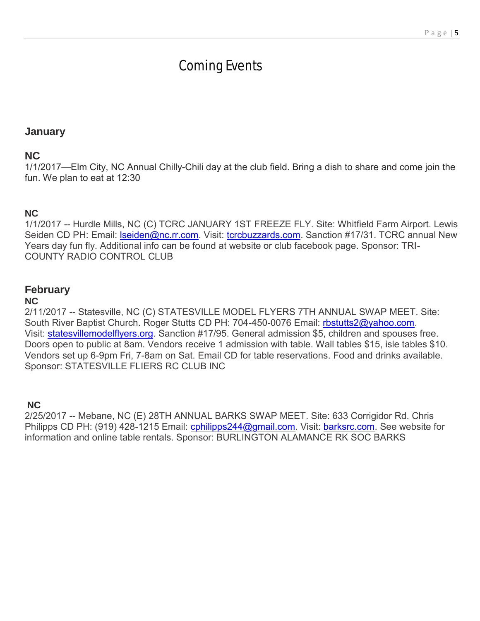# Coming Events

# **January**

# **NC**

1/1/2017—Elm City, NC Annual Chilly-Chili day at the club field. Bring a dish to share and come join the fun. We plan to eat at 12:30

### **NC**

1/1/2017 -- Hurdle Mills, NC (C) TCRC JANUARY 1ST FREEZE FLY. Site: Whitfield Farm Airport. Lewis Seiden CD PH: Email: **Iseiden@nc.rr.com.** Visit: [tcrcbuzzards.com.](http://tcrcbuzzards.com/) Sanction #17/31. TCRC annual New Years day fun fly. Additional info can be found at website or club facebook page. Sponsor: TRI-COUNTY RADIO CONTROL CLUB

# **February**

#### **NC**

2/11/2017 -- Statesville, NC (C) STATESVILLE MODEL FLYERS 7TH ANNUAL SWAP MEET. Site: South River Baptist Church. Roger Stutts CD PH: 704-450-0076 Email: [rbstutts2@yahoo.com.](mailto:rbstutts2@yahoo.com) Visit: [statesvillemodelflyers.org.](http://statesvillemodelflyers.org/) Sanction #17/95. General admission \$5, children and spouses free. Doors open to public at 8am. Vendors receive 1 admission with table. Wall tables \$15, isle tables \$10. Vendors set up 6-9pm Fri, 7-8am on Sat. Email CD for table reservations. Food and drinks available. Sponsor: STATESVILLE FLIERS RC CLUB INC

#### **NC**

2/25/2017 -- Mebane, NC (E) 28TH ANNUAL BARKS SWAP MEET. Site: 633 Corrigidor Rd. Chris Philipps CD PH: (919) 428-1215 Email: [cphilipps244@gmail.com.](mailto:cphilipps244@gmail.com) Visit: [barksrc.com.](http://barksrc.com/) See website for information and online table rentals. Sponsor: BURLINGTON ALAMANCE RK SOC BARKS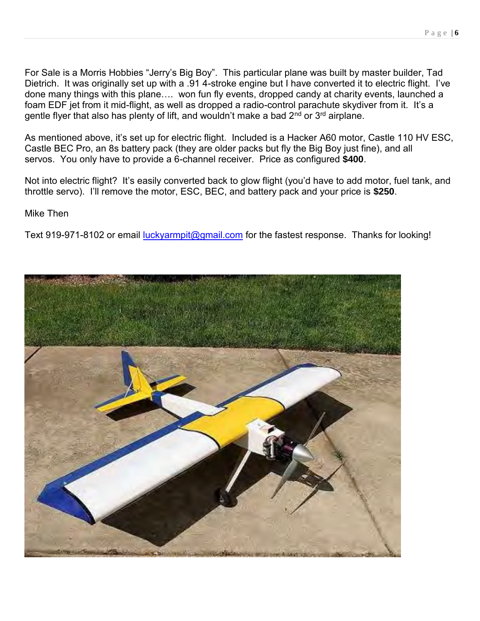For Sale is a Morris Hobbies "Jerry's Big Boy". This particular plane was built by master builder, Tad Dietrich. It was originally set up with a .91 4-stroke engine but I have converted it to electric flight. I've done many things with this plane…. won fun fly events, dropped candy at charity events, launched a foam EDF jet from it mid-flight, as well as dropped a radio-control parachute skydiver from it. It's a gentle flyer that also has plenty of lift, and wouldn't make a bad 2<sup>nd</sup> or 3<sup>rd</sup> airplane.

As mentioned above, it's set up for electric flight. Included is a Hacker A60 motor, Castle 110 HV ESC, Castle BEC Pro, an 8s battery pack (they are older packs but fly the Big Boy just fine), and all servos. You only have to provide a 6-channel receiver. Price as configured **\$400**.

Not into electric flight? It's easily converted back to glow flight (you'd have to add motor, fuel tank, and throttle servo). I'll remove the motor, ESC, BEC, and battery pack and your price is **\$250**.

Mike Then

Text 919-971-8102 or email [luckyarmpit@gmail.com](mailto:luckyarmpit@gmail.com) for the fastest response. Thanks for looking!

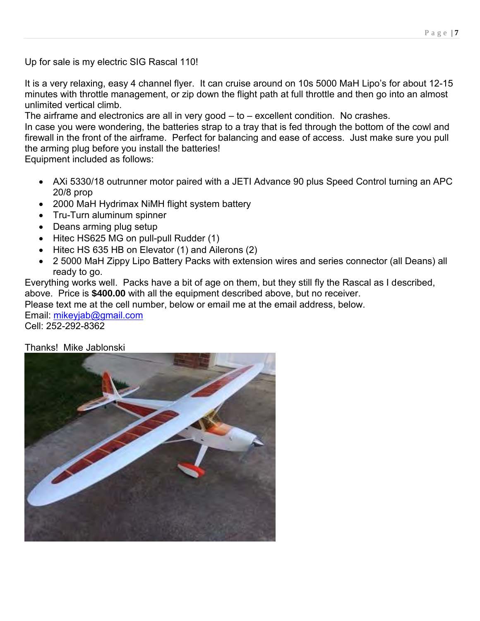Up for sale is my electric SIG Rascal 110!

It is a very relaxing, easy 4 channel flyer. It can cruise around on 10s 5000 MaH Lipo's for about 12-15 minutes with throttle management, or zip down the flight path at full throttle and then go into an almost unlimited vertical climb.

The airframe and electronics are all in very good – to – excellent condition. No crashes.

In case you were wondering, the batteries strap to a tray that is fed through the bottom of the cowl and firewall in the front of the airframe. Perfect for balancing and ease of access. Just make sure you pull the arming plug before you install the batteries!

Equipment included as follows:

- AXi 5330/18 outrunner motor paired with a JETI Advance 90 plus Speed Control turning an APC 20/8 prop
- 2000 MaH Hydrimax NiMH flight system battery
- Tru-Turn aluminum spinner
- Deans arming plug setup
- Hitec HS625 MG on pull-pull Rudder (1)
- Hitec HS 635 HB on Elevator (1) and Ailerons (2)
- 2 5000 MaH Zippy Lipo Battery Packs with extension wires and series connector (all Deans) all ready to go.

Everything works well. Packs have a bit of age on them, but they still fly the Rascal as I described, above. Price is **\$400.00** with all the equipment described above, but no receiver.

Please text me at the cell number, below or email me at the email address, below.

Email: [mikeyjab@gmail.com](mailto:mikeyjab@gmail.com) Cell: 252-292-8362

Thanks! Mike Jablonski